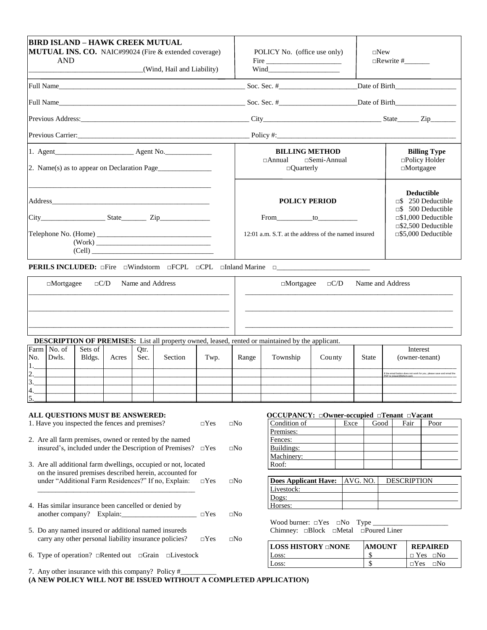| <b>BIRD ISLAND – HAWK CREEK MUTUAL</b><br><b>MUTUAL INS. CO.</b> NAIC#99024 (Fire $\&$ extended coverage)<br><b>AND</b><br>(Wind, Hail and Liability)<br><u> 1989 - John Harrison, mars et al.</u> |               | POLICY No. (office use only)<br>Fire $\overline{\phantom{a} \phantom{a}}$ |                                                                                  |            | $\square$ New |                     |                                          |                                                              |  |
|----------------------------------------------------------------------------------------------------------------------------------------------------------------------------------------------------|---------------|---------------------------------------------------------------------------|----------------------------------------------------------------------------------|------------|---------------|---------------------|------------------------------------------|--------------------------------------------------------------|--|
|                                                                                                                                                                                                    |               |                                                                           | Soc. Sec. $#$                                                                    |            |               |                     |                                          |                                                              |  |
| Full Name                                                                                                                                                                                          |               |                                                                           |                                                                                  |            |               |                     |                                          |                                                              |  |
|                                                                                                                                                                                                    |               |                                                                           |                                                                                  |            |               |                     |                                          |                                                              |  |
|                                                                                                                                                                                                    |               |                                                                           |                                                                                  |            |               |                     |                                          |                                                              |  |
|                                                                                                                                                                                                    |               |                                                                           | <b>BILLING METHOD</b>                                                            |            |               |                     |                                          | <b>Billing Type</b>                                          |  |
|                                                                                                                                                                                                    |               | $\Box$ Annual<br>$\Box$ Quarterly                                         | $\square$ Semi-Annual                                                            |            |               |                     | $\Box$ Policy Holder<br>$\Box$ Mortgagee |                                                              |  |
|                                                                                                                                                                                                    |               |                                                                           | <b>POLICY PERIOD</b>                                                             |            |               |                     |                                          | <b>Deductible</b><br>$\Box$ \$250 Deductible                 |  |
|                                                                                                                                                                                                    |               |                                                                           | From to to                                                                       |            |               |                     |                                          | $\Box$ \$ 500 Deductible<br>$\square$ \$1,000 Deductible     |  |
| Telephone No. (Home)<br>(Cell)                                                                                                                                                                     |               |                                                                           | $12:01$ a.m. S.T. at the address of the named insured                            |            |               |                     |                                          | $\square$ \$2,500 Deductible<br>$\square$ \$5,000 Deductible |  |
| <b>PERILS INCLUDED:</b> OFire OWindstorm OFCPL OCPL OInland Marine OCCUPTERILS INCLUDED:                                                                                                           |               |                                                                           |                                                                                  |            |               |                     |                                          |                                                              |  |
| Name and Address<br>$\Box C/D$<br>$\Box$ Mortgagee                                                                                                                                                 |               |                                                                           | $\Box$ Mortgagee                                                                 | $\Box C/D$ |               |                     | Name and Address                         |                                                              |  |
| <b>DESCRIPTION OF PREMISES:</b> List all property owned, leased, rented or maintained by the applicant.                                                                                            |               |                                                                           |                                                                                  |            |               |                     |                                          |                                                              |  |
| Farm   No. of<br>Sets of<br>Qtr.<br>Dwls.<br>No.<br>Section<br>Acres<br>Sec.                                                                                                                       |               | Range                                                                     | Township                                                                         | County     |               | <b>State</b>        |                                          | Interest<br>(owner-tenant)                                   |  |
| Bldgs.<br>4.                                                                                                                                                                                       | Twp.          |                                                                           |                                                                                  |            |               |                     |                                          | If the email button does not work for you, please save       |  |
| $\overline{2}$<br>3.                                                                                                                                                                               |               |                                                                           |                                                                                  |            |               |                     |                                          | and email the PDF to ivisser@bihcm.com                       |  |
| 4 <br>5                                                                                                                                                                                            |               |                                                                           |                                                                                  |            |               |                     |                                          |                                                              |  |
| ALL QUESTIONS MUST BE ANSWERED:<br>1. Have you inspected the fences and premises?                                                                                                                  | $\Box$ Yes    | $\square$ No                                                              | OCCUPANCY: Owner-occupied Tenant Nacant<br>Condition of<br>Premises:             |            | Exce          | Good                | Fair                                     | Poor                                                         |  |
| 2. Are all farm premises, owned or rented by the named<br>insured's, included under the Description of Premises? $\square$ Yes                                                                     |               | $\square$ No                                                              | Fences:<br>Buildings:<br>Machinery:                                              |            |               |                     |                                          |                                                              |  |
| 3. Are all additional farm dwellings, occupied or not, located<br>on the insured premises described herein, accounted for                                                                          |               |                                                                           | Roof:                                                                            |            |               |                     |                                          |                                                              |  |
| under "Additional Farm Residences?" If no, Explain:                                                                                                                                                | $\Box$ Yes    | $\square$ No                                                              | <b>Does Applicant Have:</b><br>Livestock:<br>Dogs:                               |            | AVG. NO.      |                     | <b>DESCRIPTION</b>                       |                                                              |  |
| 4. Has similar insurance been cancelled or denied by                                                                                                                                               | $\square$ Yes | $\square$ No                                                              | Horses:                                                                          |            |               |                     |                                          |                                                              |  |
| 5. Do any named insured or additional named insureds<br>carry any other personal liability insurance policies?                                                                                     | $\square$ Yes | $\square$ No                                                              | Wood burner: $\Box$ Yes $\Box$ No Type _<br>Chimney: and Detail are Doured Liner |            |               |                     |                                          |                                                              |  |
| 6. Type of operation? □Rented out □Grain □Livestock                                                                                                                                                |               |                                                                           | <b>LOSS HISTORY ONONE</b><br>Loss:                                               |            |               | <b>AMOUNT</b><br>\$ |                                          | <b>REPAIRED</b><br>$\Box$ Yes $\Box$ No                      |  |
| 7. Any other insurance with this company? Policy #                                                                                                                                                 |               |                                                                           | Loss:                                                                            |            |               | $\mathbb{S}$        |                                          | $\Box$ Yes<br>$\square$ No                                   |  |

**(A NEW POLICY WILL NOT BE ISSUED WITHOUT A COMPLETED APPLICATION)**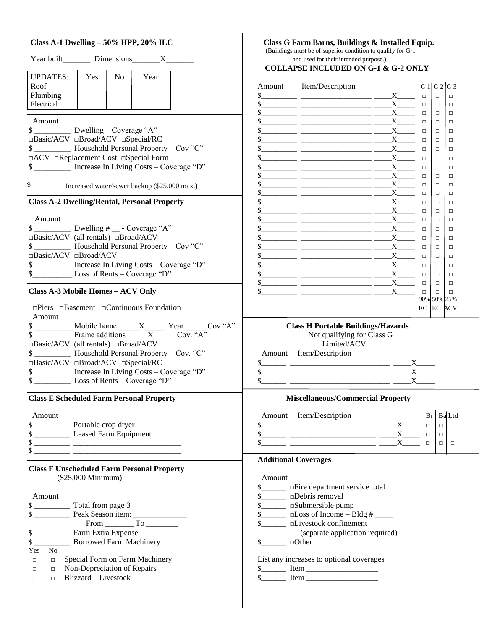### **Class A-1 Dwelling – 50% HPP, 20% ILC Class G Farm Barns, Buildings & Installed Equip.**

| Year built Dimensions X                                                                                | (Buildings must be of superior condition to qualify for G-1<br>and used for their intended purpose.)                                                                                                                                                                                                                                                                                                                                                                                                                                                                                                                                       |                        |                       |                  |
|--------------------------------------------------------------------------------------------------------|--------------------------------------------------------------------------------------------------------------------------------------------------------------------------------------------------------------------------------------------------------------------------------------------------------------------------------------------------------------------------------------------------------------------------------------------------------------------------------------------------------------------------------------------------------------------------------------------------------------------------------------------|------------------------|-----------------------|------------------|
|                                                                                                        | <b>COLLAPSE INCLUDED ON G-1 &amp; G-2 ONLY</b>                                                                                                                                                                                                                                                                                                                                                                                                                                                                                                                                                                                             |                        |                       |                  |
| <b>UPDATES:</b><br>Yes<br>$\overline{N_{0}}$<br>Year                                                   |                                                                                                                                                                                                                                                                                                                                                                                                                                                                                                                                                                                                                                            |                        |                       |                  |
| Roof<br>Plumbing                                                                                       | Amount Item/Description                                                                                                                                                                                                                                                                                                                                                                                                                                                                                                                                                                                                                    |                        | $G-1$ $G-2$ $G-3$     |                  |
| Electrical                                                                                             | $s$ X X<br>$\frac{1}{1}$ $\frac{1}{1}$ $\frac{1}{1}$ $\frac{1}{1}$ $\frac{1}{1}$ $\frac{1}{1}$ $\frac{1}{1}$ $\frac{1}{1}$ $\frac{1}{1}$ $\frac{1}{1}$ $\frac{1}{1}$ $\frac{1}{1}$ $\frac{1}{1}$ $\frac{1}{1}$ $\frac{1}{1}$ $\frac{1}{1}$ $\frac{1}{1}$ $\frac{1}{1}$ $\frac{1}{1}$ $\frac{1}{1}$ $\frac{1}{1}$ $\frac{1}{1}$                                                                                                                                                                                                                                                                                                             | $\Box$<br>$\Box$       | $\Box$<br>$\Box$      | $\Box$<br>$\Box$ |
|                                                                                                        | $$$ X X                                                                                                                                                                                                                                                                                                                                                                                                                                                                                                                                                                                                                                    | $\Box$                 | $\Box$                | $\Box$           |
| Amount                                                                                                 | $\frac{1}{1}$ $\frac{1}{1}$ $\frac{1}{1}$ $\frac{1}{1}$ $\frac{1}{1}$ $\frac{1}{1}$ $\frac{1}{1}$ $\frac{1}{1}$ $\frac{1}{1}$ $\frac{1}{1}$ $\frac{1}{1}$ $\frac{1}{1}$ $\frac{1}{1}$ $\frac{1}{1}$ $\frac{1}{1}$ $\frac{1}{1}$ $\frac{1}{1}$ $\frac{1}{1}$ $\frac{1}{1}$ $\frac{1}{1}$ $\frac{1}{1}$ $\frac{1}{1}$                                                                                                                                                                                                                                                                                                                        | $\Box$                 | $\Box$                | $\Box$           |
| $\frac{1}{2}$ Dwelling – Coverage "A"                                                                  | $\frac{1}{1}$ $\frac{1}{1}$ $\frac{1}{1}$ $\frac{1}{1}$ $\frac{1}{1}$ $\frac{1}{1}$ $\frac{1}{1}$ $\frac{1}{1}$ $\frac{1}{1}$ $\frac{1}{1}$ $\frac{1}{1}$ $\frac{1}{1}$ $\frac{1}{1}$ $\frac{1}{1}$ $\frac{1}{1}$ $\frac{1}{1}$ $\frac{1}{1}$ $\frac{1}{1}$ $\frac{1}{1}$ $\frac{1}{1}$ $\frac{1}{1}$ $\frac{1}{1}$                                                                                                                                                                                                                                                                                                                        | $\Box$                 | $\Box$                | $\Box$           |
| □Basic/ACV □Broad/ACV □Special/RC                                                                      | $\frac{1}{1}$ $\frac{1}{1}$ $\frac{1}{1}$ $\frac{1}{1}$ $\frac{1}{1}$ $\frac{1}{1}$ $\frac{1}{1}$ $\frac{1}{1}$ $\frac{1}{1}$ $\frac{1}{1}$ $\frac{1}{1}$ $\frac{1}{1}$ $\frac{1}{1}$ $\frac{1}{1}$ $\frac{1}{1}$ $\frac{1}{1}$ $\frac{1}{1}$ $\frac{1}{1}$ $\frac{1}{1}$ $\frac{1}{1}$ $\frac{1}{1}$ $\frac{1}{1}$                                                                                                                                                                                                                                                                                                                        | $\Box$                 | $\Box$                | $\Box$           |
|                                                                                                        | $\frac{1}{1}$ $\frac{1}{1}$ $\frac{1}{1}$ $\frac{1}{1}$ $\frac{1}{1}$ $\frac{1}{1}$ $\frac{1}{1}$ $\frac{1}{1}$ $\frac{1}{1}$ $\frac{1}{1}$ $\frac{1}{1}$ $\frac{1}{1}$ $\frac{1}{1}$ $\frac{1}{1}$ $\frac{1}{1}$ $\frac{1}{1}$ $\frac{1}{1}$ $\frac{1}{1}$ $\frac{1}{1}$ $\frac{1}{1}$ $\frac{1}{1}$ $\frac{1}{1}$                                                                                                                                                                                                                                                                                                                        | $\Box$                 | $\Box$                | $\Box$           |
| □ACV □Replacement Cost □Special Form<br>\$ ____________ Increase In Living Costs - Coverage "D"        | $\frac{1}{1}$ $\frac{1}{1}$ $\frac{1}{1}$ $\frac{1}{1}$ $\frac{1}{1}$ $\frac{1}{1}$ $\frac{1}{1}$ $\frac{1}{1}$ $\frac{1}{1}$ $\frac{1}{1}$ $\frac{1}{1}$ $\frac{1}{1}$ $\frac{1}{1}$ $\frac{1}{1}$ $\frac{1}{1}$ $\frac{1}{1}$ $\frac{1}{1}$ $\frac{1}{1}$ $\frac{1}{1}$ $\frac{1}{1}$ $\frac{1}{1}$ $\frac{1}{1}$                                                                                                                                                                                                                                                                                                                        | $\Box$                 | $\Box$                | $\Box$           |
|                                                                                                        | $\frac{1}{1}$ $\frac{1}{1}$ $\frac{1}{1}$ $\frac{1}{1}$ $\frac{1}{1}$ $\frac{1}{1}$ $\frac{1}{1}$ $\frac{1}{1}$ $\frac{1}{1}$ $\frac{1}{1}$ $\frac{1}{1}$ $\frac{1}{1}$ $\frac{1}{1}$ $\frac{1}{1}$ $\frac{1}{1}$ $\frac{1}{1}$ $\frac{1}{1}$ $\frac{1}{1}$ $\frac{1}{1}$ $\frac{1}{1}$ $\frac{1}{1}$ $\frac{1}{1}$<br>$\frac{1}{1}$                                                                                                                                                                                                                                                                                                       | $\Box$<br>$\Box$       | $\Box$<br>$\Box$      | $\Box$<br>$\Box$ |
| \$<br>Increased water/sewer backup (\$25,000 max.)                                                     | $\frac{1}{1}$ $\frac{1}{1}$ $\frac{1}{1}$ $\frac{1}{1}$ $\frac{1}{1}$ $\frac{1}{1}$ $\frac{1}{1}$ $\frac{1}{1}$ $\frac{1}{1}$ $\frac{1}{1}$ $\frac{1}{1}$ $\frac{1}{1}$ $\frac{1}{1}$ $\frac{1}{1}$ $\frac{1}{1}$ $\frac{1}{1}$ $\frac{1}{1}$ $\frac{1}{1}$ $\frac{1}{1}$ $\frac{1}{1}$ $\frac{1}{1}$ $\frac{1}{1}$                                                                                                                                                                                                                                                                                                                        | $\Box$                 | $\Box$                | $\Box$           |
|                                                                                                        | $\frac{1}{1}$ $\frac{1}{1}$ $\frac{1}{1}$ $\frac{1}{1}$ $\frac{1}{1}$ $\frac{1}{1}$ $\frac{1}{1}$ $\frac{1}{1}$ $\frac{1}{1}$ $\frac{1}{1}$ $\frac{1}{1}$ $\frac{1}{1}$ $\frac{1}{1}$ $\frac{1}{1}$ $\frac{1}{1}$ $\frac{1}{1}$ $\frac{1}{1}$ $\frac{1}{1}$ $\frac{1}{1}$ $\frac{1}{1}$ $\frac{1}{1}$ $\frac{1}{1}$                                                                                                                                                                                                                                                                                                                        | $\Box$                 | $\Box$                | $\Box$           |
| <b>Class A-2 Dwelling/Rental, Personal Property</b>                                                    | $\frac{1}{1}$ $\frac{1}{1}$ $\frac{1}{1}$ $\frac{1}{1}$ $\frac{1}{1}$ $\frac{1}{1}$ $\frac{1}{1}$ $\frac{1}{1}$ $\frac{1}{1}$ $\frac{1}{1}$ $\frac{1}{1}$ $\frac{1}{1}$ $\frac{1}{1}$ $\frac{1}{1}$ $\frac{1}{1}$ $\frac{1}{1}$ $\frac{1}{1}$ $\frac{1}{1}$ $\frac{1}{1}$ $\frac{1}{1}$ $\frac{1}{1}$ $\frac{1}{1}$                                                                                                                                                                                                                                                                                                                        | $\Box$                 | $\Box$                | $\Box$           |
|                                                                                                        | $\frac{1}{1}$ $\frac{1}{1}$ $\frac{1}{1}$ $\frac{1}{1}$ $\frac{1}{1}$ $\frac{1}{1}$ $\frac{1}{1}$ $\frac{1}{1}$ $\frac{1}{1}$ $\frac{1}{1}$ $\frac{1}{1}$ $\frac{1}{1}$ $\frac{1}{1}$ $\frac{1}{1}$ $\frac{1}{1}$ $\frac{1}{1}$ $\frac{1}{1}$ $\frac{1}{1}$ $\frac{1}{1}$ $\frac{1}{1}$ $\frac{1}{1}$ $\frac{1}{1}$                                                                                                                                                                                                                                                                                                                        | $\Box$                 | $\Box$                | $\Box$           |
| Amount                                                                                                 | $\frac{1}{1}$ $\frac{1}{1}$ $\frac{1}{1}$ $\frac{1}{1}$ $\frac{1}{1}$ $\frac{1}{1}$ $\frac{1}{1}$ $\frac{1}{1}$ $\frac{1}{1}$ $\frac{1}{1}$ $\frac{1}{1}$ $\frac{1}{1}$ $\frac{1}{1}$ $\frac{1}{1}$ $\frac{1}{1}$ $\frac{1}{1}$ $\frac{1}{1}$ $\frac{1}{1}$ $\frac{1}{1}$ $\frac{1}{1}$ $\frac{1}{1}$ $\frac{1}{1}$                                                                                                                                                                                                                                                                                                                        | $\Box$                 | $\Box$                | □                |
| $\frac{1}{2}$ Dwelling # __ - Coverage "A"<br>$\Box$ Basic/ACV (all rentals) $\Box$ Broad/ACV          | $\frac{1}{1}$ $\frac{1}{1}$ $\frac{1}{1}$ $\frac{1}{1}$ $\frac{1}{1}$ $\frac{1}{1}$ $\frac{1}{1}$ $\frac{1}{1}$ $\frac{1}{1}$ $\frac{1}{1}$ $\frac{1}{1}$ $\frac{1}{1}$ $\frac{1}{1}$ $\frac{1}{1}$ $\frac{1}{1}$ $\frac{1}{1}$ $\frac{1}{1}$ $\frac{1}{1}$ $\frac{1}{1}$ $\frac{1}{1}$ $\frac{1}{1}$ $\frac{1}{1}$                                                                                                                                                                                                                                                                                                                        | $\Box$                 | $\Box$                | $\Box$           |
|                                                                                                        | $\frac{1}{1}$ $\frac{1}{1}$ $\frac{1}{1}$ $\frac{1}{1}$ $\frac{1}{1}$ $\frac{1}{1}$ $\frac{1}{1}$ $\frac{1}{1}$ $\frac{1}{1}$ $\frac{1}{1}$ $\frac{1}{1}$ $\frac{1}{1}$ $\frac{1}{1}$ $\frac{1}{1}$ $\frac{1}{1}$ $\frac{1}{1}$ $\frac{1}{1}$ $\frac{1}{1}$ $\frac{1}{1}$ $\frac{1}{1}$ $\frac{1}{1}$ $\frac{1}{1}$                                                                                                                                                                                                                                                                                                                        | $\Box$                 | $\Box$                | $\Box$           |
| □Basic/ACV □Broad/ACV                                                                                  | $\frac{1}{1}$ $\frac{1}{1}$ $\frac{1}{1}$ $\frac{1}{1}$ $\frac{1}{1}$ $\frac{1}{1}$ $\frac{1}{1}$ $\frac{1}{1}$ $\frac{1}{1}$ $\frac{1}{1}$ $\frac{1}{1}$ $\frac{1}{1}$ $\frac{1}{1}$ $\frac{1}{1}$ $\frac{1}{1}$ $\frac{1}{1}$ $\frac{1}{1}$ $\frac{1}{1}$ $\frac{1}{1}$ $\frac{1}{1}$ $\frac{1}{1}$ $\frac{1}{1}$<br>$\frac{1}{1}$ $\frac{1}{1}$ $\frac{1}{1}$ $\frac{1}{1}$ $\frac{1}{1}$ $\frac{1}{1}$ $\frac{1}{1}$ $\frac{1}{1}$ $\frac{1}{1}$ $\frac{1}{1}$ $\frac{1}{1}$ $\frac{1}{1}$ $\frac{1}{1}$ $\frac{1}{1}$ $\frac{1}{1}$ $\frac{1}{1}$ $\frac{1}{1}$ $\frac{1}{1}$ $\frac{1}{1}$ $\frac{1}{1}$ $\frac{1}{1}$ $\frac{1}{1}$ | $\Box$<br>$\Box$       | $\Box$<br>$\Box$      | $\Box$<br>$\Box$ |
| \$ ____________ Increase In Living Costs - Coverage "D"                                                | $s$ X X                                                                                                                                                                                                                                                                                                                                                                                                                                                                                                                                                                                                                                    | $\Box$                 | $\Box$                | $\Box$           |
| \$_______________________ Loss of Rents – Coverage "D"                                                 | $\frac{1}{1}$                                                                                                                                                                                                                                                                                                                                                                                                                                                                                                                                                                                                                              | $\Box$                 | $\Box$                | $\Box$           |
|                                                                                                        | $\frac{1}{1}$                                                                                                                                                                                                                                                                                                                                                                                                                                                                                                                                                                                                                              | $\Box$                 | $\Box$                | $\Box$           |
| Class A-3 Mobile Homes - ACV Only                                                                      | $\frac{1}{2}$                                                                                                                                                                                                                                                                                                                                                                                                                                                                                                                                                                                                                              | $\mathbf{X}$<br>$\Box$ | $\Box$<br>90% 50% 25% | $\Box$           |
| $\Box$ Piers $\Box$ Basement $\Box$ Continuous Foundation<br>Amount                                    |                                                                                                                                                                                                                                                                                                                                                                                                                                                                                                                                                                                                                                            |                        | RC RC ACV             |                  |
| $\frac{\$}{\$}$ Mobile home $\frac{X}{\$}$ Year Cov "A"<br>Frame additions $\frac{X}{\$}$ Cov. "A"     | <b>Class H Portable Buildings/Hazards</b><br>Not qualifying for Class G                                                                                                                                                                                                                                                                                                                                                                                                                                                                                                                                                                    |                        |                       |                  |
| $\Box Basic/ACV$ (all rentals) $\Box Broad/ACV$                                                        | Limited/ACV                                                                                                                                                                                                                                                                                                                                                                                                                                                                                                                                                                                                                                |                        |                       |                  |
|                                                                                                        | Amount Item/Description                                                                                                                                                                                                                                                                                                                                                                                                                                                                                                                                                                                                                    |                        |                       |                  |
| □Basic/ACV □Broad/ACV □Special/RC                                                                      | $\frac{1}{1}$ $\frac{1}{1}$ $\frac{1}{1}$ $\frac{1}{1}$ $\frac{1}{1}$ $\frac{1}{1}$ $\frac{1}{1}$ $\frac{1}{1}$ $\frac{1}{1}$ $\frac{1}{1}$ $\frac{1}{1}$ $\frac{1}{1}$ $\frac{1}{1}$ $\frac{1}{1}$ $\frac{1}{1}$ $\frac{1}{1}$ $\frac{1}{1}$ $\frac{1}{1}$ $\frac{1}{1}$ $\frac{1}{1}$ $\frac{1}{1}$ $\frac{1}{1}$                                                                                                                                                                                                                                                                                                                        |                        |                       |                  |
| \$ _____________ Increase In Living Costs - Coverage "D"<br>$\frac{1}{2}$ Loss of Rents – Coverage "D" | $\frac{1}{1}$ $\frac{1}{1}$ $\frac{1}{1}$ $\frac{1}{1}$ $\frac{1}{1}$ $\frac{1}{1}$ $\frac{1}{1}$ $\frac{1}{1}$ $\frac{1}{1}$ $\frac{1}{1}$ $\frac{1}{1}$ $\frac{1}{1}$ $\frac{1}{1}$ $\frac{1}{1}$ $\frac{1}{1}$ $\frac{1}{1}$ $\frac{1}{1}$ $\frac{1}{1}$ $\frac{1}{1}$ $\frac{1}{1}$ $\frac{1}{1}$ $\frac{1}{1}$<br>$\frac{1}{1}$ $\frac{1}{1}$ $\frac{1}{1}$ $\frac{1}{1}$ $\frac{1}{1}$ $\frac{1}{1}$ $\frac{1}{1}$ $\frac{1}{1}$ $\frac{1}{1}$ $\frac{1}{1}$ $\frac{1}{1}$ $\frac{1}{1}$ $\frac{1}{1}$ $\frac{1}{1}$ $\frac{1}{1}$ $\frac{1}{1}$ $\frac{1}{1}$ $\frac{1}{1}$ $\frac{1}{1}$ $\frac{1}{1}$ $\frac{1}{1}$ $\frac{1}{1}$ |                        |                       |                  |
| <b>Class E Scheduled Farm Personal Property</b>                                                        | <b>Miscellaneous/Commercial Property</b>                                                                                                                                                                                                                                                                                                                                                                                                                                                                                                                                                                                                   |                        |                       |                  |
|                                                                                                        |                                                                                                                                                                                                                                                                                                                                                                                                                                                                                                                                                                                                                                            |                        |                       |                  |
| Amount                                                                                                 | Amount Item/Description                                                                                                                                                                                                                                                                                                                                                                                                                                                                                                                                                                                                                    | Br <sub>1</sub>        | <b>Ba</b> Ltd         |                  |
| \$                                                                                                     | $\frac{1}{1}$ $\frac{1}{1}$ $\frac{1}{1}$ $\frac{1}{1}$ $\frac{1}{1}$ $\frac{1}{1}$ $\frac{1}{1}$ $\frac{1}{1}$ $\frac{1}{1}$ $\frac{1}{1}$ $\frac{1}{1}$ $\frac{1}{1}$ $\frac{1}{1}$ $\frac{1}{1}$ $\frac{1}{1}$ $\frac{1}{1}$ $\frac{1}{1}$ $\frac{1}{1}$ $\frac{1}{1}$ $\frac{1}{1}$ $\frac{1}{1}$ $\frac{1}{1}$                                                                                                                                                                                                                                                                                                                        | $\Box$                 | $\square$             | $\Box$           |
|                                                                                                        | $\frac{1}{1}$ $\frac{1}{1}$ $\frac{1}{1}$ $\frac{1}{1}$ $\frac{1}{1}$ $\frac{1}{1}$ $\frac{1}{1}$ $\frac{1}{1}$ $\frac{1}{1}$ $\frac{1}{1}$ $\frac{1}{1}$ $\frac{1}{1}$ $\frac{1}{1}$ $\frac{1}{1}$ $\frac{1}{1}$ $\frac{1}{1}$ $\frac{1}{1}$ $\frac{1}{1}$ $\frac{1}{1}$ $\frac{1}{1}$ $\frac{1}{1}$ $\frac{1}{1}$                                                                                                                                                                                                                                                                                                                        | $\Box$<br>$\Box$       | $\Box$                | $\Box$           |
| $\frac{1}{2}$                                                                                          | $\frac{1}{1}$ $\frac{1}{1}$ $\frac{1}{1}$ $\frac{1}{1}$ $\frac{1}{1}$ $\frac{1}{1}$ $\frac{1}{1}$ $\frac{1}{1}$ $\frac{1}{1}$ $\frac{1}{1}$ $\frac{1}{1}$ $\frac{1}{1}$ $\frac{1}{1}$ $\frac{1}{1}$ $\frac{1}{1}$ $\frac{1}{1}$ $\frac{1}{1}$ $\frac{1}{1}$ $\frac{1}{1}$ $\frac{1}{1}$ $\frac{1}{1}$ $\frac{1}{1}$                                                                                                                                                                                                                                                                                                                        |                        | $\Box$                |                  |
|                                                                                                        | <b>Additional Coverages</b>                                                                                                                                                                                                                                                                                                                                                                                                                                                                                                                                                                                                                |                        |                       |                  |
| <b>Class F Unscheduled Farm Personal Property</b>                                                      |                                                                                                                                                                                                                                                                                                                                                                                                                                                                                                                                                                                                                                            |                        |                       |                  |
| (\$25,000 Minimum)                                                                                     | Amount                                                                                                                                                                                                                                                                                                                                                                                                                                                                                                                                                                                                                                     |                        |                       |                  |
|                                                                                                        | \$<br><u>Intervision</u> of the department service total                                                                                                                                                                                                                                                                                                                                                                                                                                                                                                                                                                                   |                        |                       |                  |
| Amount                                                                                                 | \$_______ aDebris removal                                                                                                                                                                                                                                                                                                                                                                                                                                                                                                                                                                                                                  |                        |                       |                  |
| \$                                                                                                     | \$________ aSubmersible pump                                                                                                                                                                                                                                                                                                                                                                                                                                                                                                                                                                                                               |                        |                       |                  |
|                                                                                                        |                                                                                                                                                                                                                                                                                                                                                                                                                                                                                                                                                                                                                                            |                        |                       |                  |
| $From \_\_ To \_\_$                                                                                    | \$______ aLivestock confinement<br>(separate application required)                                                                                                                                                                                                                                                                                                                                                                                                                                                                                                                                                                         |                        |                       |                  |
| $\frac{1}{2}$ Farm Extra Expense                                                                       | $\frac{1}{2}$ Other                                                                                                                                                                                                                                                                                                                                                                                                                                                                                                                                                                                                                        |                        |                       |                  |
| No<br>Yes                                                                                              |                                                                                                                                                                                                                                                                                                                                                                                                                                                                                                                                                                                                                                            |                        |                       |                  |
| $\Box$ Special Form on Farm Machinery<br>$\Box$                                                        | List any increases to optional coverages                                                                                                                                                                                                                                                                                                                                                                                                                                                                                                                                                                                                   |                        |                       |                  |
| $\Box$ Non-Depreciation of Repairs<br>$\Box$                                                           | $\frac{\text{S}}{\text{S}}$ Item                                                                                                                                                                                                                                                                                                                                                                                                                                                                                                                                                                                                           |                        |                       |                  |
| Blizzard - Livestock<br>$\Box$<br>$\Box$                                                               | $\frac{1}{2}$ Item                                                                                                                                                                                                                                                                                                                                                                                                                                                                                                                                                                                                                         |                        |                       |                  |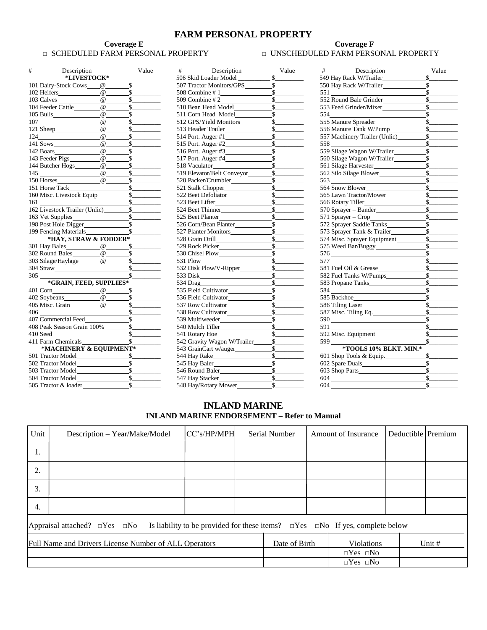### **FARM PERSONAL PROPERTY**

# **Coverage E Coverage F Coverage F**

## □ SCHEDULED FARM PERSONAL PROPERTY □ UNSCHEDULED FARM PERSONAL PROPERTY

| #<br>Description                                                                                                                                                                                                               |                     | Value                                                       | $\#$ and $\#$<br>Description                                                                                                                                                                                                         | Value  | $\#$ and $\#$<br>Description                                                                                                                                                                                                                                                                                                                                 |
|--------------------------------------------------------------------------------------------------------------------------------------------------------------------------------------------------------------------------------|---------------------|-------------------------------------------------------------|--------------------------------------------------------------------------------------------------------------------------------------------------------------------------------------------------------------------------------------|--------|--------------------------------------------------------------------------------------------------------------------------------------------------------------------------------------------------------------------------------------------------------------------------------------------------------------------------------------------------------------|
| *LIVESTOCK*                                                                                                                                                                                                                    |                     |                                                             |                                                                                                                                                                                                                                      |        | 549 Hay Rack W/Trailer                                                                                                                                                                                                                                                                                                                                       |
| 101 Dairy-Stock Cows @                                                                                                                                                                                                         |                     | s                                                           |                                                                                                                                                                                                                                      |        | 550 Hay Rack W/Trailer                                                                                                                                                                                                                                                                                                                                       |
| 102 Heifers                                                                                                                                                                                                                    | $\omega$            | $\sim$                                                      |                                                                                                                                                                                                                                      |        |                                                                                                                                                                                                                                                                                                                                                              |
| 103 Calves                                                                                                                                                                                                                     |                     | $\overline{\omega}$ $\overline{\omega}$ $\overline{\omega}$ | 509 Combine # 2 $\frac{\text{S}}{\text{S}}$                                                                                                                                                                                          |        | 552 Round Bale Grinder                                                                                                                                                                                                                                                                                                                                       |
|                                                                                                                                                                                                                                |                     | s                                                           |                                                                                                                                                                                                                                      | s      | 553 Feed Grinder/Mixer                                                                                                                                                                                                                                                                                                                                       |
|                                                                                                                                                                                                                                |                     | $\sim$                                                      |                                                                                                                                                                                                                                      |        | 554                                                                                                                                                                                                                                                                                                                                                          |
| $107$ $@$ $@$                                                                                                                                                                                                                  |                     | $\frac{\text{S}}{\text{S}}$                                 |                                                                                                                                                                                                                                      |        | 555 Manure Spreader                                                                                                                                                                                                                                                                                                                                          |
|                                                                                                                                                                                                                                | $\overline{\omega}$ | s                                                           | 513 Header Trailer<br>S                                                                                                                                                                                                              |        | 556 Manure Tank W/Pump                                                                                                                                                                                                                                                                                                                                       |
| $124 \underline{\hspace{2cm}}$                                                                                                                                                                                                 | $\omega$            | s                                                           | 514 Port. Auger #1                                                                                                                                                                                                                   | s      | 557 Machinery Trailer (Unlic)                                                                                                                                                                                                                                                                                                                                |
| $141$ Sows $\qquad \qquad \qquad \omega \qquad \qquad$ \$                                                                                                                                                                      |                     |                                                             |                                                                                                                                                                                                                                      |        | 558                                                                                                                                                                                                                                                                                                                                                          |
| 142 Boars                                                                                                                                                                                                                      |                     | $@$ $$$                                                     |                                                                                                                                                                                                                                      |        | 559 Silage Wagon W/Trailer                                                                                                                                                                                                                                                                                                                                   |
|                                                                                                                                                                                                                                |                     |                                                             |                                                                                                                                                                                                                                      |        | 560 Silage Wagon W/Trailer                                                                                                                                                                                                                                                                                                                                   |
|                                                                                                                                                                                                                                |                     | s                                                           | 518 Vaculator Summary Strategy Strategy and Strategy Strategy Strategy Strategy Strategy Strategy Strategy Strategy Strategy Strategy Strategy Strategy Strategy Strategy Strategy Strategy Strategy Strategy Strategy Strateg       |        | 561 Silage Harvester                                                                                                                                                                                                                                                                                                                                         |
|                                                                                                                                                                                                                                |                     | $\sim$                                                      |                                                                                                                                                                                                                                      |        | 562 Silo Silage Blower                                                                                                                                                                                                                                                                                                                                       |
| $\overline{150}$ Horses $\overline{\qquad \qquad}$ $\overline{\qquad \qquad}$ $\overline{\qquad \qquad}$ $\overline{\qquad \qquad}$                                                                                            |                     |                                                             |                                                                                                                                                                                                                                      |        | 563                                                                                                                                                                                                                                                                                                                                                          |
|                                                                                                                                                                                                                                |                     |                                                             |                                                                                                                                                                                                                                      |        | 564 Snow Blower                                                                                                                                                                                                                                                                                                                                              |
|                                                                                                                                                                                                                                |                     |                                                             |                                                                                                                                                                                                                                      |        | 565 Lawn Tractor/Mower                                                                                                                                                                                                                                                                                                                                       |
|                                                                                                                                                                                                                                |                     |                                                             |                                                                                                                                                                                                                                      |        | 566 Rotary Tiller                                                                                                                                                                                                                                                                                                                                            |
|                                                                                                                                                                                                                                |                     |                                                             |                                                                                                                                                                                                                                      |        | 570 Sprayer - Bander                                                                                                                                                                                                                                                                                                                                         |
| 163 Vet Supplies<br><u>S</u>                                                                                                                                                                                                   |                     |                                                             |                                                                                                                                                                                                                                      |        | 571 Sprayer - Crop                                                                                                                                                                                                                                                                                                                                           |
| 198 Post Hole Digger<br>199 Fencing Materials 5                                                                                                                                                                                |                     |                                                             |                                                                                                                                                                                                                                      |        | 572 Sprayer Saddle Tanks                                                                                                                                                                                                                                                                                                                                     |
|                                                                                                                                                                                                                                |                     |                                                             |                                                                                                                                                                                                                                      |        | 573 Sprayer Tank & Trailer                                                                                                                                                                                                                                                                                                                                   |
| *HAY, STRAW & FODDER*                                                                                                                                                                                                          |                     |                                                             |                                                                                                                                                                                                                                      |        | 574 Misc. Sprayer Equipment                                                                                                                                                                                                                                                                                                                                  |
|                                                                                                                                                                                                                                |                     |                                                             |                                                                                                                                                                                                                                      |        | 575 Weed Bar/Buggy                                                                                                                                                                                                                                                                                                                                           |
| 302 Round Bales<br>$\overline{\text{203 S}}$ Silage/Haylage $\overline{\text{204 S}}$                                                                                                                                          |                     |                                                             |                                                                                                                                                                                                                                      |        |                                                                                                                                                                                                                                                                                                                                                              |
|                                                                                                                                                                                                                                |                     |                                                             |                                                                                                                                                                                                                                      |        |                                                                                                                                                                                                                                                                                                                                                              |
| 304 Straw 5                                                                                                                                                                                                                    |                     |                                                             |                                                                                                                                                                                                                                      |        | 581 Fuel Oil & Grease                                                                                                                                                                                                                                                                                                                                        |
| 305                                                                                                                                                                                                                            |                     | s                                                           | 533 Disk <u>Samuel Samuel Samuel Samuel Samuel Samuel Samuel Samuel Samuel Samuel Samuel Samuel Samuel Samuel Samuel Samuel Samuel Samuel Samuel Samuel Samuel Samuel Samuel Samuel Samuel Samuel Samuel San San San San San San</u> |        | 582 Fuel Tanks W/Pumps                                                                                                                                                                                                                                                                                                                                       |
| *GRAIN, FEED, SUPPLIES*                                                                                                                                                                                                        |                     |                                                             | $534 \text{ Drag}$ \$                                                                                                                                                                                                                |        | 583 Propane Tanks                                                                                                                                                                                                                                                                                                                                            |
| 401 Corn $@$ \$                                                                                                                                                                                                                |                     |                                                             |                                                                                                                                                                                                                                      |        |                                                                                                                                                                                                                                                                                                                                                              |
| $402$ Soybeans $@$ \$                                                                                                                                                                                                          |                     |                                                             |                                                                                                                                                                                                                                      |        |                                                                                                                                                                                                                                                                                                                                                              |
| $405$ Misc. Grain $@$ $§$                                                                                                                                                                                                      |                     |                                                             |                                                                                                                                                                                                                                      |        | 586 Tiling Laser                                                                                                                                                                                                                                                                                                                                             |
|                                                                                                                                                                                                                                |                     |                                                             |                                                                                                                                                                                                                                      |        | 587 Misc. Tiling Eq.                                                                                                                                                                                                                                                                                                                                         |
| 406<br>407 Commercial Feed<br>5                                                                                                                                                                                                |                     |                                                             |                                                                                                                                                                                                                                      |        |                                                                                                                                                                                                                                                                                                                                                              |
|                                                                                                                                                                                                                                |                     |                                                             |                                                                                                                                                                                                                                      |        | 591<br>and the control of the control of the control of                                                                                                                                                                                                                                                                                                      |
|                                                                                                                                                                                                                                |                     |                                                             |                                                                                                                                                                                                                                      | $\sim$ | 592 Misc. Equipment                                                                                                                                                                                                                                                                                                                                          |
| 410 Seed<br>411 Farm Chemicals 5                                                                                                                                                                                               |                     |                                                             | 542 Gravity Wagon W/Trailer <u>S</u>                                                                                                                                                                                                 |        | 599 — 100                                                                                                                                                                                                                                                                                                                                                    |
| *MACHINERY & EQUIPMENT*                                                                                                                                                                                                        |                     |                                                             |                                                                                                                                                                                                                                      |        | *TOOLS 10% BLKT. MIN.*                                                                                                                                                                                                                                                                                                                                       |
| 501 Tractor Model                                                                                                                                                                                                              |                     |                                                             |                                                                                                                                                                                                                                      |        | 601 Shop Tools & Equip.                                                                                                                                                                                                                                                                                                                                      |
| 502 Tractor Model Service Services Services Services Services Services Services Services Services Services Services Services Services Services Services Services Services Services Services Services Services Services Service |                     |                                                             |                                                                                                                                                                                                                                      |        | 602 Spare Duals                                                                                                                                                                                                                                                                                                                                              |
| 503 Tractor Model 503                                                                                                                                                                                                          |                     |                                                             | 546 Round Baler 546 Round Baler                                                                                                                                                                                                      |        |                                                                                                                                                                                                                                                                                                                                                              |
| 504 Tractor Model                                                                                                                                                                                                              |                     |                                                             | 547 Hay Stacker                                                                                                                                                                                                                      |        | $604 \begin{tabular}{l} \hline \rule{0.2cm}{0.1cm} \rule{0.2cm}{0.1cm} \rule{0.2cm}{0.1cm} \rule{0.2cm}{0.1cm} \rule{0.2cm}{0.1cm} \rule{0.2cm}{0.1cm} \rule{0.2cm}{0.1cm} \rule{0.2cm}{0.1cm} \rule{0.2cm}{0.1cm} \rule{0.2cm}{0.1cm} \rule{0.2cm}{0.1cm} \rule{0.2cm}{0.1cm} \rule{0.2cm}{0.1cm} \rule{0.2cm}{0.1cm} \rule{0.2cm}{0.1cm} \rule{0.2cm}{0.1$ |
|                                                                                                                                                                                                                                |                     |                                                             |                                                                                                                                                                                                                                      |        |                                                                                                                                                                                                                                                                                                                                                              |

| #   | Description                                                                                                                                                                                                                                                                                                                                                                          | Value                       | $\#$ and $\#$<br>Description                     | Value                       |
|-----|--------------------------------------------------------------------------------------------------------------------------------------------------------------------------------------------------------------------------------------------------------------------------------------------------------------------------------------------------------------------------------------|-----------------------------|--------------------------------------------------|-----------------------------|
|     | *LIVESTOCK*                                                                                                                                                                                                                                                                                                                                                                          |                             | 506 Skid Loader Model \$                         |                             |
|     | 101 Dairy-Stock Cows @                                                                                                                                                                                                                                                                                                                                                               | $\sim$                      |                                                  |                             |
|     | 102 Heifers_______________@_                                                                                                                                                                                                                                                                                                                                                         | s                           |                                                  | s                           |
|     |                                                                                                                                                                                                                                                                                                                                                                                      |                             | $509$ Combine # $2 \overline{\qquad \qquad }$ \$ |                             |
|     |                                                                                                                                                                                                                                                                                                                                                                                      |                             | 510 Bean Head Model \$                           |                             |
|     |                                                                                                                                                                                                                                                                                                                                                                                      |                             |                                                  |                             |
|     |                                                                                                                                                                                                                                                                                                                                                                                      |                             | 512 GPS/Yield Monitors \$                        |                             |
|     |                                                                                                                                                                                                                                                                                                                                                                                      | s                           | 513 Header Trailer                               | s                           |
|     | $\overline{a}$ $\overline{a}$ $\overline{a}$ $\overline{a}$ $\overline{a}$ $\overline{a}$ $\overline{a}$ $\overline{a}$ $\overline{a}$ $\overline{a}$ $\overline{a}$ $\overline{a}$ $\overline{a}$ $\overline{a}$ $\overline{a}$ $\overline{a}$ $\overline{a}$ $\overline{a}$ $\overline{a}$ $\overline{a}$ $\overline{a}$ $\overline{a}$ $\overline{a}$ $\overline{a}$ $\overline{$ |                             |                                                  |                             |
|     |                                                                                                                                                                                                                                                                                                                                                                                      |                             | 515 Port. Auger #2                               | s                           |
|     |                                                                                                                                                                                                                                                                                                                                                                                      | s                           | 516 Port. Auger #3                               | $\sim$                      |
|     |                                                                                                                                                                                                                                                                                                                                                                                      |                             |                                                  |                             |
|     | 144 Butcher Hogs 0 \$<br>145 0 0 \$                                                                                                                                                                                                                                                                                                                                                  |                             |                                                  | s                           |
|     |                                                                                                                                                                                                                                                                                                                                                                                      |                             | 519 Elevator/Belt Conveyor<br>\$                 |                             |
|     | 150 Horses $\qquad \qquad \textcircled{a} \qquad \qquad \textcircled{f}$                                                                                                                                                                                                                                                                                                             |                             |                                                  |                             |
|     |                                                                                                                                                                                                                                                                                                                                                                                      |                             |                                                  |                             |
|     |                                                                                                                                                                                                                                                                                                                                                                                      |                             |                                                  |                             |
| 161 |                                                                                                                                                                                                                                                                                                                                                                                      | $\frac{\text{S}}{\text{S}}$ |                                                  |                             |
|     | 162 Livestock Trailer (Unlic) \$                                                                                                                                                                                                                                                                                                                                                     |                             | 524 Beet Thinner                                 | s                           |
|     | 163 Vet Supplies<br>S                                                                                                                                                                                                                                                                                                                                                                |                             |                                                  |                             |
|     |                                                                                                                                                                                                                                                                                                                                                                                      |                             | 526 Corn/Bean Planter                            | s                           |
|     | 199 Fencing Materials \$                                                                                                                                                                                                                                                                                                                                                             |                             | 527 Planter Monitors                             | s                           |
|     | *HAY, STRAW & FODDER*                                                                                                                                                                                                                                                                                                                                                                |                             |                                                  | s                           |
|     |                                                                                                                                                                                                                                                                                                                                                                                      |                             | 529 Rock Picker<br>S                             |                             |
|     |                                                                                                                                                                                                                                                                                                                                                                                      | $s$                         |                                                  | s                           |
|     |                                                                                                                                                                                                                                                                                                                                                                                      |                             | 531 Plow                                         | s                           |
|     | $304$ Straw $\overline{\phantom{1}}$                                                                                                                                                                                                                                                                                                                                                 |                             | 532 Disk Plow/V-Ripper                           | s                           |
|     | $305 \underline{\hspace{1cm}} s \underline{\hspace{1cm}} s$                                                                                                                                                                                                                                                                                                                          |                             |                                                  | s                           |
|     | *GRAIN, FEED, SUPPLIES*                                                                                                                                                                                                                                                                                                                                                              |                             | 534 Drag \$                                      |                             |
|     |                                                                                                                                                                                                                                                                                                                                                                                      |                             | 535 Field Cultivator                             | s                           |
|     |                                                                                                                                                                                                                                                                                                                                                                                      |                             | 536 Field Cultivator                             | $\sim$                      |
|     | $405$ Misc. Grain $\qquad \qquad \qquad \qquad \qquad \qquad \qquad$                                                                                                                                                                                                                                                                                                                 |                             |                                                  |                             |
|     |                                                                                                                                                                                                                                                                                                                                                                                      |                             |                                                  |                             |
|     | 406<br>407 Commercial Feed<br>5                                                                                                                                                                                                                                                                                                                                                      |                             | 539 Multiweeder                                  | $\frac{1}{2}$               |
|     |                                                                                                                                                                                                                                                                                                                                                                                      |                             |                                                  |                             |
|     |                                                                                                                                                                                                                                                                                                                                                                                      |                             | 541 Rotary Hoe                                   | $S_{\perp}$ and $S_{\perp}$ |
|     | 411 Farm Chemicals 5                                                                                                                                                                                                                                                                                                                                                                 |                             | 542 Gravity Wagon W/Trailer \$                   |                             |
|     | *MACHINERY & EQUIPMENT*                                                                                                                                                                                                                                                                                                                                                              |                             | 543 GrainCart w/auger                            | $\sim$                      |
|     | 501 Tractor Model<br><u>S</u>                                                                                                                                                                                                                                                                                                                                                        |                             |                                                  | s                           |
|     |                                                                                                                                                                                                                                                                                                                                                                                      |                             |                                                  | s                           |
|     |                                                                                                                                                                                                                                                                                                                                                                                      |                             |                                                  |                             |
|     |                                                                                                                                                                                                                                                                                                                                                                                      |                             | 547 Hay Stacker<br><u>S</u>                      |                             |
|     | 505 Tractor & loader \$                                                                                                                                                                                                                                                                                                                                                              |                             | 548 Hay/Rotary Mower                             | $\sim$                      |
|     |                                                                                                                                                                                                                                                                                                                                                                                      |                             |                                                  |                             |

| #<br>Description                                                             | Value                       | Description<br>$\#$ and $\#$                                    | Value               | Description<br>$#$ and $*$          | Value               |
|------------------------------------------------------------------------------|-----------------------------|-----------------------------------------------------------------|---------------------|-------------------------------------|---------------------|
| $\mathbf{*LIVESTOCK*}$                                                       |                             | 506 Skid Loader Model                                           | $\mathbb{S}$        | 549 Hay Rack W/Trailer              |                     |
| 101 Dairy-Stock Cows @                                                       | $\frac{\text{S}}{\text{S}}$ |                                                                 |                     | 550 Hay Rack W/Trailer              | $\mathbb{S}$        |
| 102 Heifers @                                                                | $\sim$                      | $508$ Combine # 1                                               | $\frac{\sim}{\sim}$ |                                     | s                   |
|                                                                              |                             |                                                                 |                     | 552 Round Bale Grinder Summary 8    |                     |
|                                                                              | $\frac{1}{s}$               |                                                                 |                     |                                     |                     |
|                                                                              |                             | 511 Corn Head Model<br>S                                        |                     | 554                                 | s                   |
| $\overline{a}$<br>107                                                        | s                           |                                                                 |                     | 555 Manure Spreader                 | $\sim$              |
|                                                                              | s                           | 513 Header Trailer                                              | s                   |                                     |                     |
| $\frac{124 \text{ }}{ }$ $\frac{0 \text{ }}{2}$                              | s                           |                                                                 |                     |                                     |                     |
|                                                                              | s                           |                                                                 |                     | 558                                 |                     |
| 142 Boars<br>143 Feeder Pigs @                                               | s                           |                                                                 |                     |                                     |                     |
|                                                                              | s                           | $517$ Port. Auger #4                                            | $\sim$              |                                     |                     |
|                                                                              | S                           |                                                                 |                     | 561 Silage Harvester <u>S</u>       |                     |
| $\frac{145}{150 \text{ Horses}}$ $\frac{0}{0}$ $\frac{5}{5}$                 |                             | 519 Elevator/Belt Conveyor<br><u>S</u>                          |                     |                                     |                     |
|                                                                              |                             |                                                                 |                     |                                     |                     |
|                                                                              |                             |                                                                 |                     | 564 Snow Blower<br><u>S</u>         |                     |
|                                                                              |                             |                                                                 |                     |                                     |                     |
| 161                                                                          | s                           |                                                                 |                     | 566 Rotary Tiller                   | s                   |
| 162 Livestock Trailer (Unlic) \$                                             |                             | 524 Beet Thinner \$                                             |                     | 570 Sprayer – Bander                |                     |
| 163 Vet Supplies_                                                            |                             |                                                                 |                     |                                     |                     |
|                                                                              |                             | 525 Beet Planter <u>S</u><br>526 Corn/Bean Planter S            |                     | 572 Sprayer Saddle Tanks \$         |                     |
|                                                                              |                             |                                                                 |                     | 573 Sprayer Tank & Trailer<br>\$    |                     |
|                                                                              | *HAY, STRAW & FODDER*       | 528 Grain Drill <b>S</b>                                        |                     | 574 Misc. Sprayer Equipment         | $\frac{\sim}{\sim}$ |
|                                                                              |                             | 529 Rock Picker<br>S                                            |                     |                                     |                     |
| $302$ Round Bales $\overline{\textcircled{a} \textcircled{b}}$ s             |                             |                                                                 |                     |                                     | $\sim$              |
|                                                                              |                             | 531 Plow                                                        |                     | $\frac{576}{577}$                   | s                   |
|                                                                              |                             |                                                                 |                     | 581 Fuel Oil & Grease               |                     |
| 304 Straw 5<br>305                                                           |                             | 533 Disk <u>\$</u>                                              |                     |                                     |                     |
|                                                                              | *GRAIN, FEED, SUPPLIES*     | 534 Drag \$                                                     |                     | 583 Propane Tanks                   | $\mathbb{S}$        |
|                                                                              |                             | 535 Field Cultivator S                                          |                     |                                     | $\mathcal{S}_{-}$   |
| $\overline{\text{402 Soybeans}}$ $\overline{\text{e}}$ $\overline{\text{s}}$ |                             |                                                                 |                     | 585 Backhoe                         | s                   |
|                                                                              |                             |                                                                 |                     |                                     | s                   |
| 406                                                                          |                             |                                                                 |                     |                                     | s                   |
| 407 Commercial Feed <u>S</u>                                                 |                             |                                                                 |                     | $590 \underline{\hspace{1.5cm}}$ \$ |                     |
|                                                                              |                             | 540 Mulch Tiller S                                              |                     | $591 \underline{\hspace{1.5cm}}$ \$ |                     |
| 410 Seed                                                                     |                             |                                                                 |                     |                                     |                     |
| 411 Farm Chemicals \$                                                        |                             | 542 Gravity Wagon W/Trailer <u>S</u>                            |                     |                                     |                     |
|                                                                              | *MACHINERY & EQUIPMENT*     |                                                                 |                     | *TOOLS 10% BLKT. MIN.*              |                     |
| 501 Tractor Model                                                            |                             |                                                                 |                     |                                     |                     |
| 502 Tractor Model                                                            | s                           | 545 Hay Baler                                                   | $\sim$              |                                     | $\mathbb{S}$        |
| 503 Tractor Model                                                            |                             |                                                                 |                     |                                     |                     |
|                                                                              |                             |                                                                 |                     |                                     | S                   |
|                                                                              |                             | 547 Hay Stacker<br>548 Hay/Rotary Mower<br>548 Hay/Rotary Mower |                     | 604                                 |                     |
|                                                                              |                             |                                                                 |                     |                                     |                     |

#### **INLAND MARINE INLAND MARINE ENDORSEMENT – Refer to Manual**

| Unit | Description - Year/Make/Model                                                                                                              | lCC's/HP/MPH |  | Serial Number |  | <b>Amount of Insurance</b> | Deductible Premium |          |
|------|--------------------------------------------------------------------------------------------------------------------------------------------|--------------|--|---------------|--|----------------------------|--------------------|----------|
| 1.   |                                                                                                                                            |              |  |               |  |                            |                    |          |
| 2.   |                                                                                                                                            |              |  |               |  |                            |                    |          |
| 3.   |                                                                                                                                            |              |  |               |  |                            |                    |          |
| 4.   |                                                                                                                                            |              |  |               |  |                            |                    |          |
|      | Is liability to be provided for these items? $\Box$ Yes $\Box$ No If yes, complete below<br>Appraisal attached? $\square$ Yes $\square$ No |              |  |               |  |                            |                    |          |
|      | <b>Full Name and Drivers License Number of ALL Operators</b>                                                                               |              |  | Date of Birth |  | <b>Violations</b>          |                    | Unit $#$ |
|      |                                                                                                                                            |              |  |               |  | $\Box$ Yes $\Box$ No       |                    |          |
|      |                                                                                                                                            |              |  |               |  | $\Box$ Yes $\Box$ No       |                    |          |